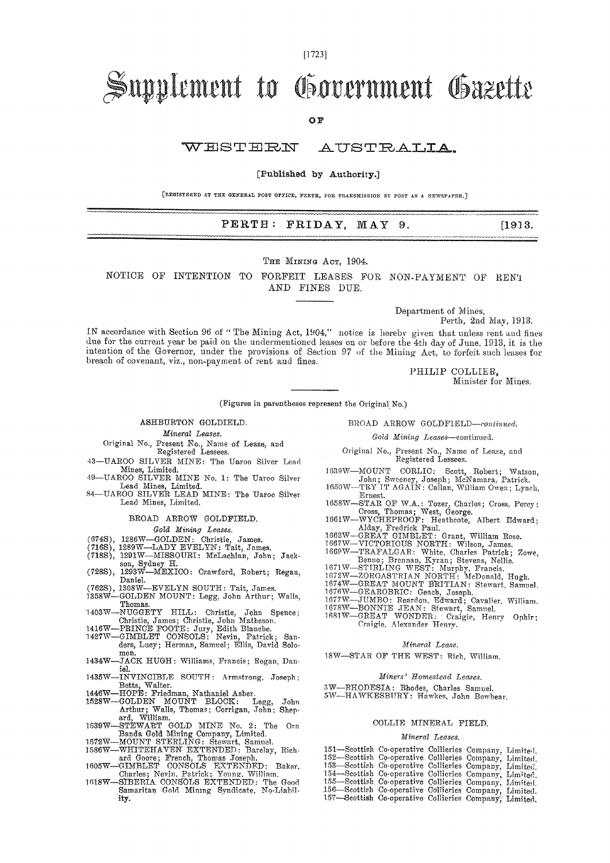[1723]

# Supplement to Government Gazette

OF

#### WESTERN AUSTRALIA.

#### [Published by Authority.]

[REGISTERED AT THE GENERAL POST OFFICE, PERTH, FOR TRANSMISSION BY POST AS A NEWSPAPER.]

 $PERTE: FRIDAY, MAY 9.$  [19]3.

THE MINING ACT, 1904.

NOTICE OF INTENTION TO FORFEIT LEASES FOR NON-PAYMENT OF REN'I AND FINES DUE.

Department of Nines,

Perth, 2nd May, 1913.

IN accordance with Section 96 of " The Mining Act, 1904," notice is hereby given that unless rent and fines due for the current year be paid bu the undermentioned leases on or before the 4th day of June. 1913, it is the intention of the Governor, under the provisions of Section 97 of the Mining Act, to forfeit such leases for breach of covenant, viz., non-payment of rent and fines.

PHILIP COLLIER.

Minister for Mines.

(Figures in parentheses represent the Original No.)

#### ASHBURTON GOLDIELD.

*Mineral Leases.* 

Original No., Present No., Name of Lease, and Registered Lessees.

- 43—IIAROO SILVER MINE: The Uaroo Silver Lead Mines, Limited. 49—UAROO SILVER MINE No. 1: The Uaroo Silver
- Lead Mines, Limited. 84—ITAROO SILVER LEAD MINE: The Uaroo Silver
- Lead Mines, Limited.

#### BROAD ARROW GOLDFIELD.

#### *Gold Mining Leases.*

- 
- (674S), 1286W—GOLDEN: Christie, James. (7165), 1289W—LADY EVELYN: Tait, James. (718S), 1291W—MISSOURI: McLachlan, John; Jack-
- son, Sydney H.
- (728S), 1293W—MEXICO: Crawford, Robert; Regan, Daniel.
- (7625), 1308W—EVELYN SOUTH: Tait, James. 1358W—GOLDEN MOUNT: Legg, John Arthur; Walls,
- Thomas.
- 
- 
- 1403W—NUGGETY HILL: Christie, John Spence; Christie, James; Christie, John Matheson. 1416W—PRINCE FOOTE: Jury, Edith Blanche. 1427W—GIMBLET CONSOLS: Nevin, Patrick; San-ders, Lucy; Herman, Samuel; Ellis, David Solomon.
- 1434W—JACK HUGH: Williams, Francis; Regan, Daniel. 1435W—INVINCIBLE SOUTH: Armstrong, Joseph:
- 
- 
- Betts, Walter.<br>
1446W-HOPE: Friedman, Nathaniel Asher.<br>
1528W-GOLDEN MOUNT BLOCK: Legg, John Arthur; Walls, Thomas; Corrigan, John; Shepard, William.<br>
1539W-STEWART GOLD MINE No. 2: The Ora Banda Gold Mining Company, Limit
- 
- 
- 
- 
- 

BROAD ARROW GOLDF1ELD—continued.

*Gold Mining Leases—continued.* 

- Original No., Present No., Name of Lease, and Registered Lessees.
- 1639W—MOUNT CORLIC: Scott, Robert; Watson, John; Sweeney, Joseph; McNamara, Patrick. 1650W—TRY IT AGAIN: Callan, William Owen; Lynch,
- Ernest.
- 1658W-STAR OF W.A.: Tozer, Charles; Cross, Percy;<br>Cross, Thomas; West, George.<br>1661W-WYCHEPROOF: Heathcote, Albert Edward;<br>Alday, Fredrick Paul.<br>1662W-GREAT GIMBLET: Grant, William Rose.<br>1667W-VICTORIOUS NORTH: Wilson, Jam
- 
- 
- 
- Benno; Brennan, Kyran; Stevens, Nellie.<br>
1671W—STIRLING WEST: Murphy, Francis.<br>
1672W—ZOROASTRIAN NORTH: McDonald, Hugh.<br>
1674W—GREAT MOUNT BRITIAN: Stewart, Samuel.
- 
- 
- 
- 
- 
- 1676W—GEAROBRIC: Geach, Joseph.<br>1677W—JUMBO: Reardon, Edward; Cavalier, William.<br>1678W—BONNIE JEAN: Stewart, Samuel.<br>1681W—GREAT WONDER: Craigie, Henry Ophir; Craigie, Alexander Henry.

#### *Mineral Lease.*

18W—STAR OF THE WEST: Rich, William.

#### *Miners' Homestead Leases.*

3W—RHODESIA: Rhodes, Charles Samuel. 5W—HAWKESBITRY: Hawkes, John Bowhear.

#### COLLIE MINERAL FIELD.

#### *Mineral Leases.*

| 151-Seottish Co-operative Collieries Company, Limited. |  |  |
|--------------------------------------------------------|--|--|
| 152-Seottish Co-operative Collieries Company, Limited. |  |  |
| 153-Scottish Co-operative Collieries Company, Limited. |  |  |
| 154—Scottish Co-operative Collieries Company, Limited. |  |  |
| 155-Scottish Co-operative Collieries Company, Limited. |  |  |
| 156-Scottish Co-operative Collieries Company, Limited. |  |  |
| 157-Seottish Co-operative Collieries Company, Limited. |  |  |